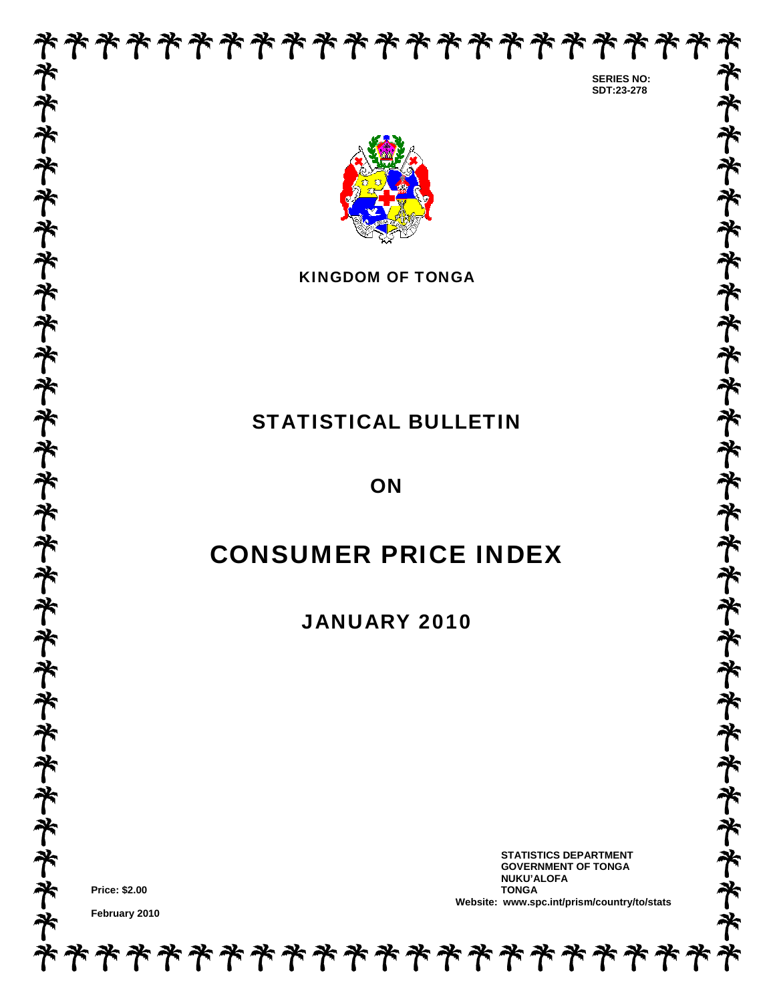

 **SERIES NO: SDT:23-278** 

**ネキネネネネネネネネネネネネネネネネネネネネネネネ** 



KINGDOM OF TONGA

# STATISTICAL BULLETIN

**ON** 

# CONSUMER PRICE INDEX

JANUARY 2010

**\*\*\*\*\*\*\*\*\*\*\*\*\*\*\*\*\*\*\*\*** 

**Price: \$2.00** 

**February 2010** 

 **STATISTICS DEPARTMENT GOVERNMENT OF TONGA NUKU'ALOFA Website: www.spc.int/prism/country/to/stats**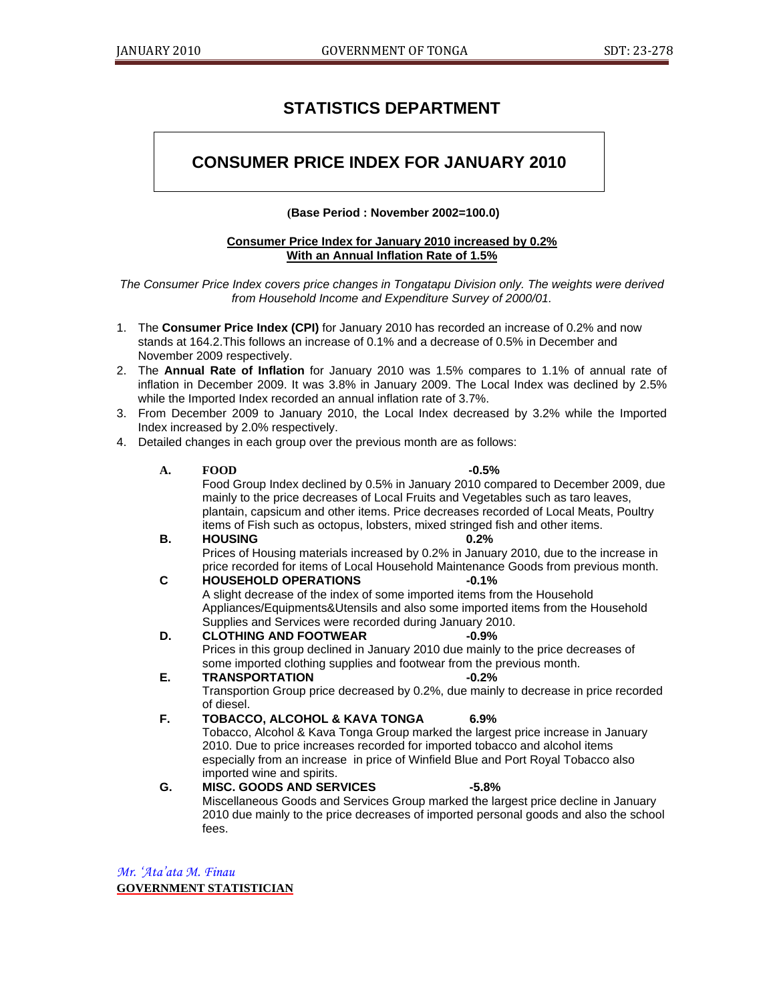# **STATISTICS DEPARTMENT**

# **CONSUMER PRICE INDEX FOR JANUARY 2010**

## **(Base Period : November 2002=100.0)**

### **Consumer Price Index for January 2010 increased by 0.2% With an Annual Inflation Rate of 1.5%**

*The Consumer Price Index covers price changes in Tongatapu Division only. The weights were derived from Household Income and Expenditure Survey of 2000/01.* 

- 1. The **Consumer Price Index (CPI)** for January 2010 has recorded an increase of 0.2% and now stands at 164.2.This follows an increase of 0.1% and a decrease of 0.5% in December and November 2009 respectively.
- 2. The **Annual Rate of Inflation** for January 2010 was 1.5% compares to 1.1% of annual rate of inflation in December 2009. It was 3.8% in January 2009. The Local Index was declined by 2.5% while the Imported Index recorded an annual inflation rate of 3.7%.
- 3. From December 2009 to January 2010, the Local Index decreased by 3.2% while the Imported Index increased by 2.0% respectively.
- 4. Detailed changes in each group over the previous month are as follows:

| A. | $-0.5%$<br><b>FOOD</b>                                                                                                                                                |
|----|-----------------------------------------------------------------------------------------------------------------------------------------------------------------------|
|    | Food Group Index declined by 0.5% in January 2010 compared to December 2009, due                                                                                      |
|    | mainly to the price decreases of Local Fruits and Vegetables such as taro leaves,                                                                                     |
|    | plantain, capsicum and other items. Price decreases recorded of Local Meats, Poultry<br>items of Fish such as octopus, lobsters, mixed stringed fish and other items. |
| В. | <b>HOUSING</b><br>0.2%                                                                                                                                                |
|    | Prices of Housing materials increased by 0.2% in January 2010, due to the increase in                                                                                 |
|    | price recorded for items of Local Household Maintenance Goods from previous month.                                                                                    |
| С  | <b>HOUSEHOLD OPERATIONS</b><br>$-0.1%$                                                                                                                                |
|    | A slight decrease of the index of some imported items from the Household                                                                                              |
|    | Appliances/Equipments&Utensils and also some imported items from the Household                                                                                        |
|    | Supplies and Services were recorded during January 2010.                                                                                                              |
| D. | <b>CLOTHING AND FOOTWEAR</b><br>$-0.9%$                                                                                                                               |
|    | Prices in this group declined in January 2010 due mainly to the price decreases of<br>some imported clothing supplies and footwear from the previous month.           |
| Е. | <b>TRANSPORTATION</b><br>$-0.2%$                                                                                                                                      |
|    | Transportion Group price decreased by 0.2%, due mainly to decrease in price recorded                                                                                  |
|    | of diesel.                                                                                                                                                            |
| F. | <b>TOBACCO, ALCOHOL &amp; KAVA TONGA</b><br>6.9%                                                                                                                      |
|    | Tobacco, Alcohol & Kava Tonga Group marked the largest price increase in January                                                                                      |
|    | 2010. Due to price increases recorded for imported tobacco and alcohol items                                                                                          |
|    | especially from an increase in price of Winfield Blue and Port Royal Tobacco also                                                                                     |
|    | imported wine and spirits.                                                                                                                                            |
| G. | <b>MISC. GOODS AND SERVICES</b><br>$-5.8%$                                                                                                                            |
|    | Miscellaneous Goods and Services Group marked the largest price decline in January                                                                                    |
|    | 2010 due mainly to the price decreases of imported personal goods and also the school<br>fees.                                                                        |
|    |                                                                                                                                                                       |

*Mr. 'Ata'ata M. Finau*  **GOVERNMENT STATISTICIAN**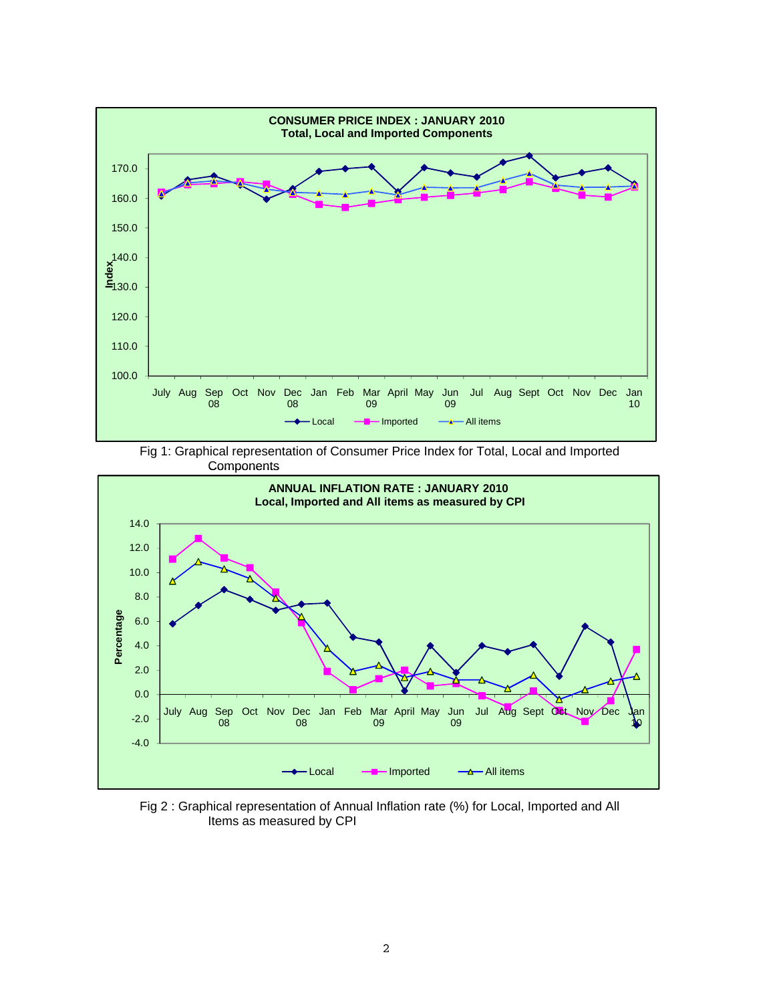

Fig 1: Graphical representation of Consumer Price Index for Total, Local and Imported **Components** 



Fig 2 : Graphical representation of Annual Inflation rate (%) for Local, Imported and All Items as measured by CPI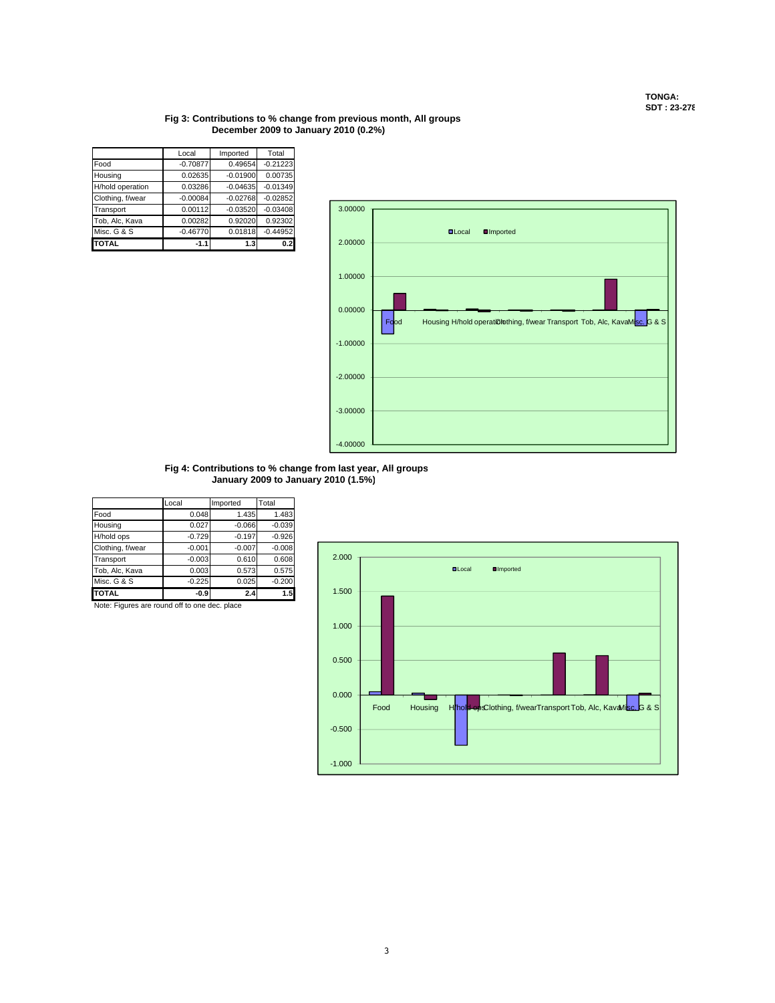#### **Fig 3: Contributions to % change from previous month, All groups December 2009 to January 2010 (0.2%)**

|                  | Local      | Imported   | Total      |
|------------------|------------|------------|------------|
| Food             | $-0.70877$ | 0.49654    | $-0.21223$ |
| Housing          | 0.02635    | $-0.01900$ | 0.00735    |
| H/hold operation | 0.03286    | $-0.04635$ | $-0.01349$ |
| Clothing, f/wear | $-0.00084$ | $-0.02768$ | $-0.02852$ |
| Transport        | 0.00112    | $-0.03520$ | $-0.03408$ |
| Tob, Alc, Kava   | 0.00282    | 0.92020    | 0.92302    |
| Misc. G & S      | $-0.46770$ | 0.01818    | $-0.44952$ |
| <b>TOTAL</b>     | $-1.1$     | 1.3        | 0.2        |



**Fig 4: Contributions to % change from last year All groups Fig 4: Contributions to % change from last year, All January 2009 to January 2010 (1.5%)**

|                  | Local    | Imported | Total    |
|------------------|----------|----------|----------|
| Food             | 0.048    | 1.435    | 1.483    |
| Housing          | 0.027    | $-0.066$ | $-0.039$ |
| H/hold ops       | $-0.729$ | $-0.197$ | $-0.926$ |
| Clothing, f/wear | $-0.001$ | $-0.007$ | $-0.008$ |
| Transport        | $-0.003$ | 0.610    | 0.608    |
| Tob, Alc, Kava   | 0.003    | 0.573    | 0.575    |
| Misc. G & S      | $-0.225$ | 0.025    | $-0.200$ |
| <b>TOTAL</b>     | $-0.9$   | 2.4      | 1.5      |

Note: Figures are round off to one dec. place

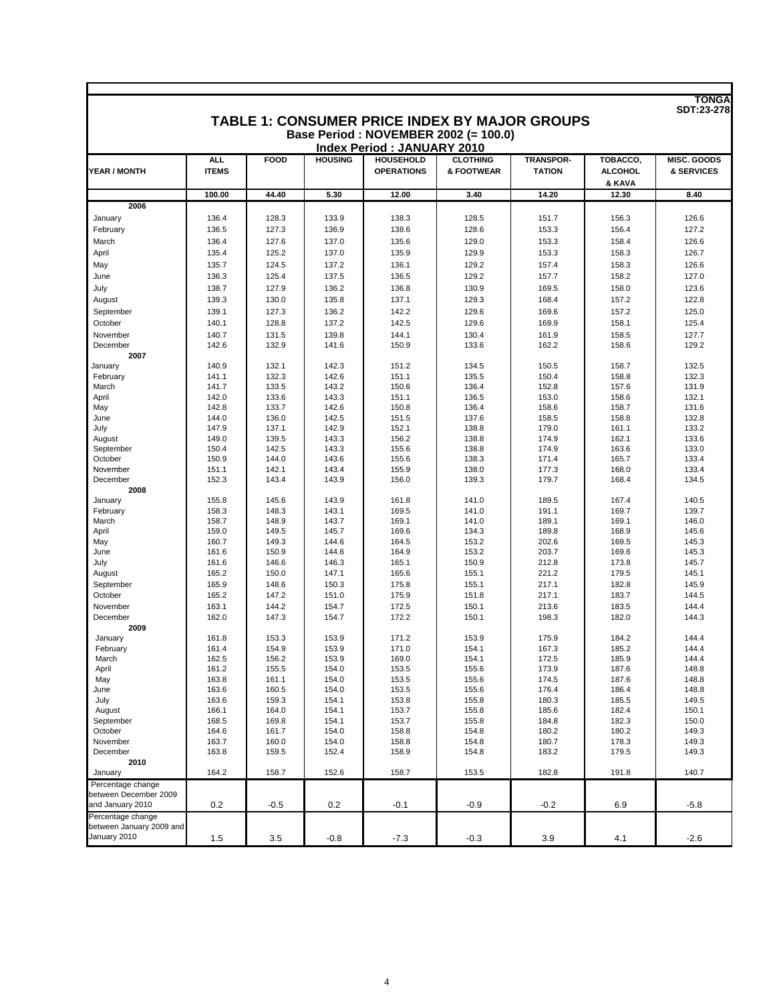|                          |                            |                |                |                                       | TABLE 1: CONSUMER PRICE INDEX BY MAJOR GROUPS<br>Base Period: NOVEMBER 2002 (= 100.0) |                                   |                                      | <b>SDT:23-278</b>                |
|--------------------------|----------------------------|----------------|----------------|---------------------------------------|---------------------------------------------------------------------------------------|-----------------------------------|--------------------------------------|----------------------------------|
|                          |                            |                |                | <b>Index Period: JANUARY 2010</b>     |                                                                                       |                                   |                                      |                                  |
| YEAR / MONTH             | <b>ALL</b><br><b>ITEMS</b> | <b>FOOD</b>    | <b>HOUSING</b> | <b>HOUSEHOLD</b><br><b>OPERATIONS</b> | <b>CLOTHING</b><br>& FOOTWEAR                                                         | <b>TRANSPOR-</b><br><b>TATION</b> | TOBACCO,<br><b>ALCOHOL</b><br>& KAVA | <b>MISC. GOODS</b><br>& SERVICES |
|                          | 100.00                     | 44.40          | 5.30           | 12.00                                 | 3.40                                                                                  | 14.20                             | 12.30                                | 8.40                             |
| 2006                     |                            |                |                |                                       |                                                                                       |                                   |                                      |                                  |
| January                  | 136.4                      | 128.3          | 133.9          | 138.3                                 | 128.5                                                                                 | 151.7                             | 156.3                                | 126.6                            |
| February                 | 136.5                      | 127.3          | 136.9          | 138.6                                 | 128.6                                                                                 | 153.3                             | 156.4                                | 127.2                            |
| March                    | 136.4                      | 127.6          | 137.0          | 135.6                                 | 129.0                                                                                 | 153.3                             | 158.4                                | 126.6                            |
| April                    | 135.4                      | 125.2          | 137.0          | 135.9                                 | 129.9                                                                                 | 153.3                             | 158.3                                | 126.7                            |
| May                      | 135.7                      | 124.5          | 137.2          | 136.1                                 | 129.2                                                                                 | 157.4                             | 158.3                                | 126.6                            |
| June                     | 136.3                      | 125.4          | 137.5          | 136.5                                 | 129.2                                                                                 | 157.7                             | 158.2                                | 127.0                            |
| July                     | 138.7                      | 127.9          | 136.2          | 136.8                                 | 130.9                                                                                 | 169.5                             | 158.0                                | 123.6                            |
| August                   | 139.3                      | 130.0          | 135.8          | 137.1                                 | 129.3                                                                                 | 168.4                             | 157.2                                | 122.8                            |
| September                | 139.1                      | 127.3          | 136.2          | 142.2                                 | 129.6                                                                                 | 169.6                             | 157.2                                | 125.0                            |
| October                  | 140.1                      | 128.8          | 137.2          | 142.5                                 | 129.6                                                                                 | 169.9                             | 158.1                                | 125.4                            |
| November                 | 140.7                      | 131.5          | 139.8          | 144.1                                 | 130.4                                                                                 | 161.9                             | 158.5                                | 127.7                            |
| December<br>2007         | 142.6                      | 132.9          | 141.6          | 150.9                                 | 133.6                                                                                 | 162.2                             | 158.6                                | 129.2                            |
| January                  | 140.9                      | 132.1          | 142.3          | 151.2                                 | 134.5                                                                                 | 150.5                             | 158.7                                | 132.5                            |
| February                 | 141.1                      | 132.3          | 142.6          | 151.1                                 | 135.5                                                                                 | 150.4                             | 158.8                                | 132.3                            |
| March                    | 141.7                      | 133.5          | 143.2          | 150.6                                 | 136.4                                                                                 | 152.8                             | 157.6                                | 131.9                            |
| April                    | 142.0                      | 133.6          | 143.3          | 151.1                                 | 136.5                                                                                 | 153.0                             | 158.6                                | 132.1                            |
| May                      | 142.8                      | 133.7          | 142.6          | 150.8                                 | 136.4                                                                                 | 158.6                             | 158.7                                | 131.6                            |
| June                     | 144.0                      | 136.0          | 142.5          | 151.5                                 | 137.6                                                                                 | 158.5                             | 158.8                                | 132.8                            |
| July                     | 147.9                      | 137.1          | 142.9          | 152.1                                 | 138.8                                                                                 | 179.0                             | 161.1                                | 133.2                            |
| August                   | 149.0                      | 139.5          | 143.3          | 156.2                                 | 138.8                                                                                 | 174.9                             | 162.1                                | 133.6                            |
| September<br>October     | 150.4<br>150.9             | 142.5<br>144.0 | 143.3<br>143.6 | 155.6<br>155.6                        | 138.8<br>138.3                                                                        | 174.9<br>171.4                    | 163.6<br>165.7                       | 133.0<br>133.4                   |
| November                 | 151.1                      | 142.1          | 143.4          | 155.9                                 | 138.0                                                                                 | 177.3                             | 168.0                                | 133.4                            |
| December                 | 152.3                      | 143.4          | 143.9          | 156.0                                 | 139.3                                                                                 | 179.7                             | 168.4                                | 134.5                            |
| 2008                     |                            |                |                |                                       |                                                                                       |                                   |                                      |                                  |
| January                  | 155.8                      | 145.6          | 143.9          | 161.8                                 | 141.0                                                                                 | 189.5                             | 167.4                                | 140.5                            |
| February                 | 158.3                      | 148.3          | 143.1          | 169.5                                 | 141.0                                                                                 | 191.1                             | 169.7                                | 139.7                            |
| March                    | 158.7                      | 148.9          | 143.7          | 169.1                                 | 141.0                                                                                 | 189.1                             | 169.1                                | 146.0                            |
| April<br>May             | 159.0<br>160.7             | 149.5<br>149.3 | 145.7<br>144.6 | 169.6<br>164.5                        | 134.3<br>153.2                                                                        | 189.8<br>202.6                    | 168.9<br>169.5                       | 145.6<br>145.3                   |
| June                     | 161.6                      | 150.9          | 144.6          | 164.9                                 | 153.2                                                                                 | 203.7                             | 169.6                                | 145.3                            |
| July                     | 161.6                      | 146.6          | 146.3          | 165.1                                 | 150.9                                                                                 | 212.8                             | 173.8                                | 145.7                            |
| August                   | 165.2                      | 150.0          | 147.1          | 165.6                                 | 155.1                                                                                 | 221.2                             | 179.5                                | 145.1                            |
| September                | 165.9                      | 148.6          | 150.3          | 175.8                                 | 155.1                                                                                 | 217.1                             | 182.8                                | 145.9                            |
| October                  | 165.2                      | 147.2          | 151.0          | 175.9                                 | 151.8                                                                                 | 217.1                             | 183.7                                | 144.5                            |
| November                 | 163.1                      | 144.2          | 154.7          | 172.5                                 | 150.1                                                                                 | 213.6                             | 183.5                                | 144.4                            |
| December                 | 162.0                      | 147.3          | 154.7          | 172.2                                 | 150.1                                                                                 | 198.3                             | 182.0                                | 144.3                            |
| 2009                     |                            |                |                |                                       |                                                                                       |                                   |                                      |                                  |
| January                  | 161.8                      | 153.3          | 153.9          | 171.2                                 | 153.9                                                                                 | 175.9                             | 184.2                                | 144.4                            |
| February<br>March        | 161.4<br>162.5             | 154.9<br>156.2 | 153.9<br>153.9 | 171.0<br>169.0                        | 154.1<br>154.1                                                                        | 167.3<br>172.5                    | 185.2<br>185.9                       | 144.4<br>144.4                   |
| April                    | 161.2                      | 155.5          | 154.0          | 153.5                                 | 155.6                                                                                 | 173.9                             | 187.6                                | 148.8                            |
| May                      | 163.8                      | 161.1          | 154.0          | 153.5                                 | 155.6                                                                                 | 174.5                             | 187.6                                | 148.8                            |
| June                     | 163.6                      | 160.5          | 154.0          | 153.5                                 | 155.6                                                                                 | 176.4                             | 186.4                                | 148.8                            |
| July                     | 163.6                      | 159.3          | 154.1          | 153.8                                 | 155.8                                                                                 | 180.3                             | 185.5                                | 149.5                            |
| August                   | 166.1                      | 164.0          | 154.1          | 153.7                                 | 155.8                                                                                 | 185.6                             | 182.4                                | 150.1                            |
| September                | 168.5                      | 169.8          | 154.1          | 153.7                                 | 155.8                                                                                 | 184.8                             | 182.3                                | 150.0                            |
| October<br>November      | 164.6                      | 161.7          | 154.0          | 158.8                                 | 154.8                                                                                 | 180.2                             | 180.2                                | 149.3                            |
| December                 | 163.7<br>163.8             | 160.0<br>159.5 | 154.0<br>152.4 | 158.8<br>158.9                        | 154.8<br>154.8                                                                        | 180.7<br>183.2                    | 178.3<br>179.5                       | 149.3<br>149.3                   |
| 2010                     |                            |                |                |                                       |                                                                                       |                                   |                                      |                                  |
| January                  | 164.2                      | 158.7          | 152.6          | 158.7                                 | 153.5                                                                                 | 182.8                             | 191.8                                | 140.7                            |
| Percentage change        |                            |                |                |                                       |                                                                                       |                                   |                                      |                                  |
| between December 2009    |                            |                |                |                                       |                                                                                       |                                   |                                      |                                  |
| and January 2010         | 0.2                        | $-0.5$         | 0.2            | $-0.1$                                | $-0.9$                                                                                | $-0.2$                            | 6.9                                  | $-5.8$                           |
| Percentage change        |                            |                |                |                                       |                                                                                       |                                   |                                      |                                  |
| between January 2009 and |                            |                |                |                                       |                                                                                       |                                   |                                      |                                  |
| January 2010             | 1.5                        | 3.5            | $-0.8$         | $-7.3$                                | $-0.3$                                                                                | 3.9                               | 4.1                                  | $-2.6$                           |

Г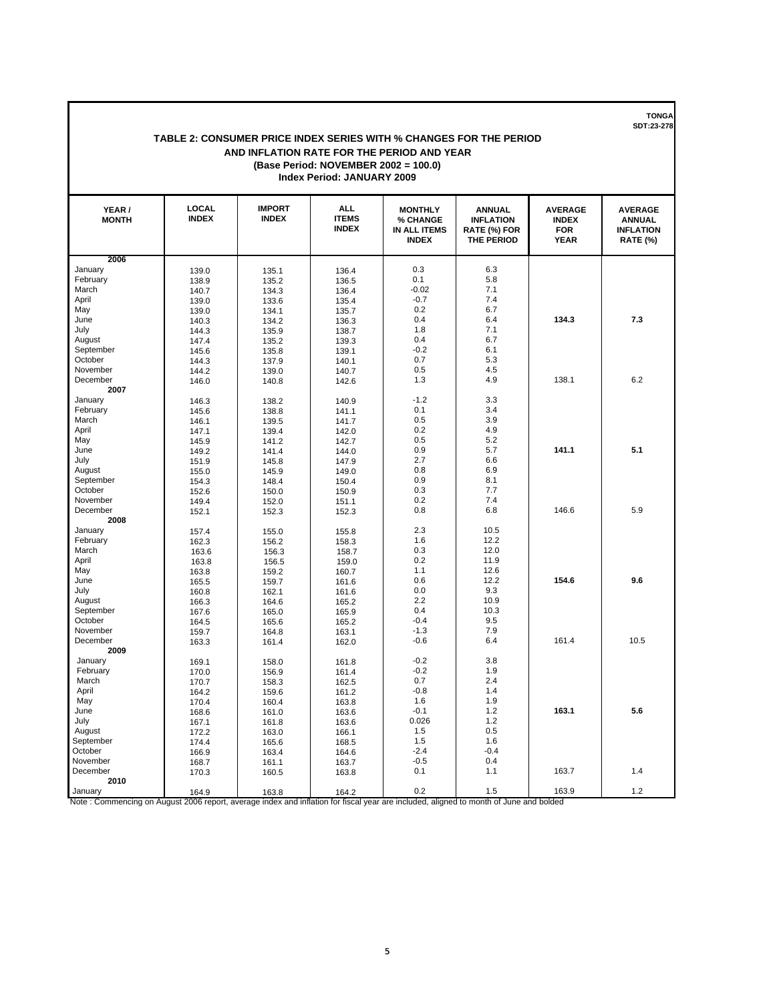#### **TABLE 2: CONSUMER PRICE INDEX SERIES WITH % CHANGES FOR THE PERIOD AND INFLATION RATE FOR THE PERIOD AND YEAR (Base Period: NOVEMBER 2002 = 100.0) Index Period: JANUARY 2009**

| YEAR/<br><b>MONTH</b> | <b>LOCAL</b><br><b>INDEX</b> | <b>IMPORT</b><br><b>INDEX</b> | <b>ALL</b><br><b>ITEMS</b><br><b>INDEX</b> | <b>MONTHLY</b><br>% CHANGE<br><b>IN ALL ITEMS</b><br><b>INDEX</b> | <b>ANNUAL</b><br><b>INFLATION</b><br>RATE (%) FOR<br>THE PERIOD | <b>AVERAGE</b><br><b>INDEX</b><br><b>FOR</b><br><b>YEAR</b> | <b>AVERAGE</b><br><b>ANNUAL</b><br><b>INFLATION</b><br><b>RATE (%)</b> |
|-----------------------|------------------------------|-------------------------------|--------------------------------------------|-------------------------------------------------------------------|-----------------------------------------------------------------|-------------------------------------------------------------|------------------------------------------------------------------------|
| 2006                  |                              |                               |                                            |                                                                   |                                                                 |                                                             |                                                                        |
| January               | 139.0                        | 135.1                         | 136.4                                      | 0.3                                                               | 6.3                                                             |                                                             |                                                                        |
| February              | 138.9                        | 135.2                         | 136.5                                      | 0.1                                                               | 5.8                                                             |                                                             |                                                                        |
| March                 | 140.7                        | 134.3                         | 136.4                                      | $-0.02$                                                           | 7.1                                                             |                                                             |                                                                        |
| April                 | 139.0                        | 133.6                         | 135.4                                      | $-0.7$                                                            | 7.4                                                             |                                                             |                                                                        |
| May                   | 139.0                        | 134.1                         | 135.7                                      | 0.2                                                               | 6.7                                                             |                                                             |                                                                        |
| June                  | 140.3                        | 134.2                         | 136.3                                      | 0.4                                                               | 6.4                                                             | 134.3                                                       | 7.3                                                                    |
| July                  | 144.3                        | 135.9                         | 138.7                                      | 1.8                                                               | 7.1                                                             |                                                             |                                                                        |
| August                | 147.4                        | 135.2                         | 139.3                                      | 0.4                                                               | 6.7                                                             |                                                             |                                                                        |
| September             | 145.6                        | 135.8                         | 139.1                                      | $-0.2$                                                            | 6.1                                                             |                                                             |                                                                        |
| October               | 144.3                        | 137.9                         | 140.1                                      | 0.7                                                               | 5.3                                                             |                                                             |                                                                        |
| November              | 144.2                        | 139.0                         | 140.7                                      | 0.5                                                               | 4.5                                                             |                                                             |                                                                        |
| December              | 146.0                        | 140.8                         | 142.6                                      | 1.3                                                               | 4.9                                                             | 138.1                                                       | 6.2                                                                    |
| 2007                  |                              |                               |                                            |                                                                   |                                                                 |                                                             |                                                                        |
| January               | 146.3                        | 138.2                         | 140.9                                      | $-1.2$                                                            | 3.3                                                             |                                                             |                                                                        |
| February              | 145.6                        | 138.8                         | 141.1                                      | 0.1                                                               | 3.4                                                             |                                                             |                                                                        |
| March                 | 146.1                        | 139.5                         | 141.7                                      | 0.5                                                               | 3.9                                                             |                                                             |                                                                        |
| April                 | 147.1                        | 139.4                         | 142.0                                      | 0.2                                                               | 4.9                                                             |                                                             |                                                                        |
| May                   | 145.9                        | 141.2                         | 142.7                                      | 0.5                                                               | 5.2                                                             |                                                             |                                                                        |
| June                  | 149.2                        | 141.4                         | 144.0                                      | 0.9                                                               | 5.7                                                             | 141.1                                                       | 5.1                                                                    |
| July                  | 151.9                        | 145.8                         | 147.9                                      | 2.7                                                               | 6.6                                                             |                                                             |                                                                        |
| August                | 155.0                        | 145.9                         | 149.0                                      | 0.8                                                               | 6.9                                                             |                                                             |                                                                        |
| September             | 154.3                        | 148.4                         | 150.4                                      | 0.9                                                               | 8.1                                                             |                                                             |                                                                        |
| October               | 152.6                        | 150.0                         | 150.9                                      | 0.3                                                               | 7.7                                                             |                                                             |                                                                        |
| November              | 149.4                        | 152.0                         | 151.1                                      | 0.2                                                               | 7.4                                                             |                                                             |                                                                        |
| December              | 152.1                        | 152.3                         | 152.3                                      | 0.8                                                               | 6.8                                                             | 146.6                                                       | 5.9                                                                    |
| 2008                  |                              |                               |                                            |                                                                   |                                                                 |                                                             |                                                                        |
| January               | 157.4                        | 155.0                         | 155.8                                      | 2.3                                                               | 10.5                                                            |                                                             |                                                                        |
| February              | 162.3                        | 156.2                         | 158.3                                      | 1.6                                                               | 12.2                                                            |                                                             |                                                                        |
| March                 | 163.6                        | 156.3                         | 158.7                                      | 0.3                                                               | 12.0                                                            |                                                             |                                                                        |
| April                 | 163.8                        | 156.5                         | 159.0                                      | 0.2                                                               | 11.9                                                            |                                                             |                                                                        |
| May                   | 163.8                        | 159.2                         | 160.7                                      | 1.1                                                               | 12.6                                                            |                                                             |                                                                        |
| June                  | 165.5                        | 159.7                         | 161.6                                      | 0.6                                                               | 12.2                                                            | 154.6                                                       | 9.6                                                                    |
| July                  | 160.8                        | 162.1                         | 161.6                                      | 0.0                                                               | 9.3                                                             |                                                             |                                                                        |
| August                | 166.3                        | 164.6                         | 165.2                                      | 2.2                                                               | 10.9                                                            |                                                             |                                                                        |
| September             | 167.6                        | 165.0                         | 165.9                                      | 0.4                                                               | 10.3                                                            |                                                             |                                                                        |
| October               | 164.5                        | 165.6                         | 165.2                                      | $-0.4$                                                            | 9.5                                                             |                                                             |                                                                        |
| November              | 159.7                        | 164.8                         | 163.1                                      | $-1.3$                                                            | 7.9                                                             |                                                             |                                                                        |
| December              | 163.3                        | 161.4                         | 162.0                                      | $-0.6$                                                            | 6.4                                                             | 161.4                                                       | 10.5                                                                   |
| 2009                  |                              |                               |                                            |                                                                   |                                                                 |                                                             |                                                                        |
| January               | 169.1                        | 158.0                         | 161.8                                      | $-0.2$                                                            | 3.8                                                             |                                                             |                                                                        |
| February              | 170.0                        | 156.9                         | 161.4                                      | $-0.2$                                                            | 1.9                                                             |                                                             |                                                                        |
| March                 | 170.7                        | 158.3                         | 162.5                                      | 0.7                                                               | 2.4                                                             |                                                             |                                                                        |
| April                 | 164.2                        | 159.6                         | 161.2                                      | $-0.8$                                                            | 1.4                                                             |                                                             |                                                                        |
| May                   | 170.4                        | 160.4                         | 163.8                                      | 1.6                                                               | 1.9                                                             |                                                             |                                                                        |
| June                  | 168.6                        | 161.0                         | 163.6                                      | $-0.1$                                                            | 1.2                                                             | 163.1                                                       | 5.6                                                                    |
| July                  | 167.1                        | 161.8                         | 163.6                                      | 0.026                                                             | 1.2                                                             |                                                             |                                                                        |
| August                | 172.2                        | 163.0                         | 166.1                                      | 1.5                                                               | 0.5                                                             |                                                             |                                                                        |
| September             | 174.4                        | 165.6                         | 168.5                                      | 1.5                                                               | 1.6                                                             |                                                             |                                                                        |
| October               | 166.9                        | 163.4                         | 164.6                                      | $-2.4$                                                            | $-0.4$                                                          |                                                             |                                                                        |
| November              | 168.7                        | 161.1                         | 163.7                                      | $-0.5$                                                            | 0.4                                                             |                                                             |                                                                        |
| December              | 170.3                        | 160.5                         | 163.8                                      | 0.1                                                               | 1.1                                                             | 163.7                                                       | 1.4                                                                    |
| 2010                  |                              |                               |                                            |                                                                   |                                                                 |                                                             |                                                                        |
| January               | 164Q                         | 163R                          | 1642                                       | 0.2                                                               | 1.5                                                             | 163.9                                                       | 1.2                                                                    |

January 163.9 164.9 163.8 163.2 0.2 1.5 1.5 163.9 163.9 1.2<br>Note : Commencing on August 2006 report, average index and inflation for fiscal year are included, aligned to month of June and bolded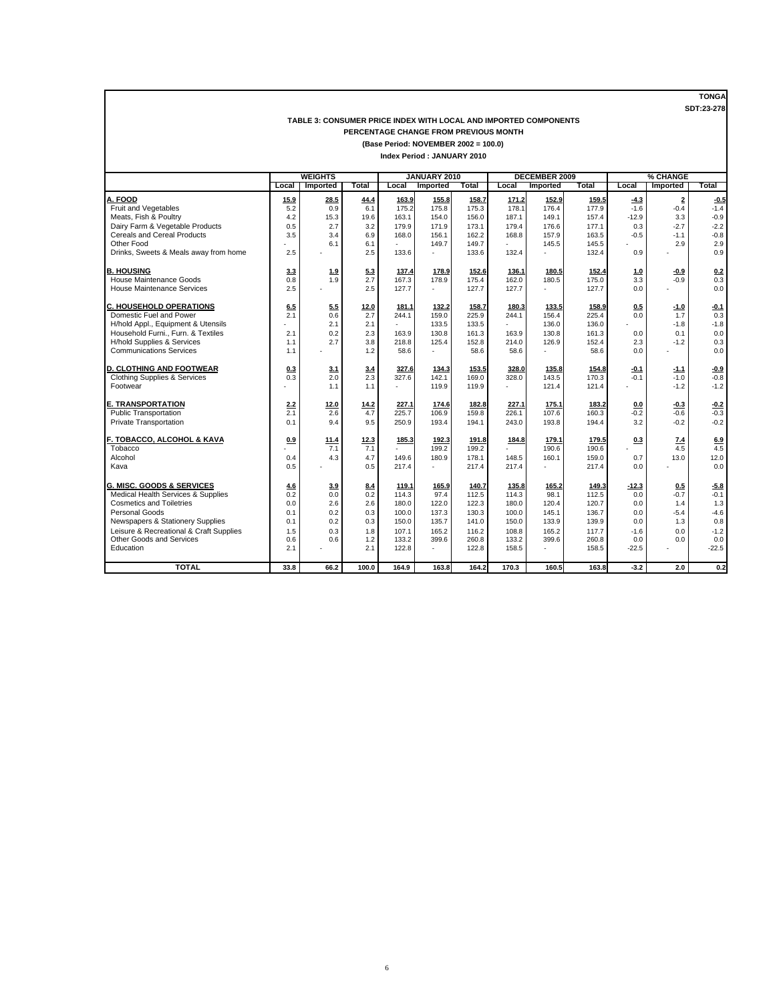#### **TABLE 3: CONSUMER PRICE INDEX WITH LOCAL AND IMPORTED COMPONENTS PERCENTAGE CHANGE FROM PREVIOUS MONTH**

**(Base Period: NOVEMBER 2002 = 100.0)**

|                                         |       | <b>WEIGHTS</b> |              |        | JANUARY 2010 |              |       | <b>DECEMBER 2009</b> |       |         | % CHANGE                |         |
|-----------------------------------------|-------|----------------|--------------|--------|--------------|--------------|-------|----------------------|-------|---------|-------------------------|---------|
|                                         | Local | Imported       | <b>Total</b> | Local  | Imported     | <b>Total</b> | Local | Imported             | Total | Local   | Imported                | Total   |
| A. FOOD                                 | 15.9  | 28.5           | 44.4         | 163.9  | 155.8        | 158.7        | 171.2 | 152.9                | 159.5 | $-4.3$  | $\overline{\mathbf{2}}$ | $-0.5$  |
| Fruit and Vegetables                    | 5.2   | 0.9            | 6.1          | 175.2  | 175.8        | 175.3        | 178.1 | 176.4                | 177.9 | $-1.6$  | $-0.4$                  | $-1.4$  |
| Meats, Fish & Poultry                   | 4.2   | 15.3           | 19.6         | 163.1  | 154.0        | 156.0        | 187.1 | 149.1                | 157.4 | $-12.9$ | 3.3                     | $-0.9$  |
| Dairy Farm & Vegetable Products         | 0.5   | 2.7            | 3.2          | 179.9  | 171.9        | 173.1        | 179.4 | 176.6                | 177.1 | 0.3     | $-2.7$                  | $-2.2$  |
| <b>Cereals and Cereal Products</b>      | 3.5   | 3.4            | 6.9          | 168.0  | 156.1        | 162.2        | 168.8 | 157.9                | 163.5 | $-0.5$  | $-1.1$                  | $-0.8$  |
| Other Food                              |       | 6.1            | 6.1          |        | 149.7        | 149.7        |       | 145.5                | 145.5 |         | 2.9                     | 2.9     |
| Drinks, Sweets & Meals away from home   | 2.5   |                | 2.5          | 133.6  | ä,           | 133.6        | 132.4 | ÷.                   | 132.4 | 0.9     |                         | 0.9     |
| <b>B. HOUSING</b>                       | 3.3   | 1.9            | 5.3          | 137.4  | 178.9        | 152.6        | 136.1 | 180.5                | 152.4 | 1.0     | $-0.9$                  | 0.2     |
| House Maintenance Goods                 | 0.8   | 1.9            | 2.7          | 167.3  | 178.9        | 175.4        | 162.0 | 180.5                | 175.0 | 3.3     | $-0.9$                  | 0.3     |
| <b>House Maintenance Services</b>       | 2.5   |                | 2.5          | 127.7  | ÷.           | 127.7        | 127.7 | ÷.                   | 127.7 | 0.0     |                         | 0.0     |
| <b>C. HOUSEHOLD OPERATIONS</b>          | 6.5   | 5.5            | 12.0         | 181.1  | 132.2        | 158.7        | 180.3 | 133.5                | 158.9 | 0.5     | $-1.0$                  | $-0.1$  |
| Domestic Fuel and Power                 | 2.1   | 0.6            | 2.7          | 244.1  | 159.0        | 225.9        | 244.1 | 156.4                | 225.4 | 0.0     | 1.7                     | 0.3     |
| H/hold Appl., Equipment & Utensils      |       | 2.1            | 2.1          | ×.     | 133.5        | 133.5        |       | 136.0                | 136.0 |         | $-1.8$                  | $-1.8$  |
| Household Furni Furn. & Textiles        | 2.1   | 0.2            | 2.3          | 163.9  | 130.8        | 161.3        | 163.9 | 130.8                | 161.3 | 0.0     | 0.1                     | 0.0     |
| H/hold Supplies & Services              | 1.1   | 2.7            | 3.8          | 218.8  | 125.4        | 152.8        | 214.0 | 126.9                | 152.4 | 2.3     | $-1.2$                  | 0.3     |
| <b>Communications Services</b>          | 1.1   |                | 1.2          | 58.6   | ä,           | 58.6         | 58.6  | ä,                   | 58.6  | 0.0     |                         | 0.0     |
| <b>D. CLOTHING AND FOOTWEAR</b>         | 0.3   | 3.1            | 3.4          | 327.6  | 134.3        | 153.5        | 328.0 | 135.8                | 154.8 | $-0.1$  | $-1.1$                  | $-0.9$  |
| <b>Clothing Supplies &amp; Services</b> | 0.3   | 2.0            | 2.3          | 327.6  | 142.1        | 169.0        | 328.0 | 143.5                | 170.3 | $-0.1$  | $-1.0$                  | $-0.8$  |
| Footwear                                |       | 1.1            | 1.1          | $\sim$ | 119.9        | 119.9        |       | 121.4                | 121.4 |         | $-1.2$                  | $-1.2$  |
| <b>E. TRANSPORTATION</b>                | 2.2   | 12.0           | 14.2         | 227.1  | 174.6        | 182.8        | 227.1 | 175.1                | 183.2 | 0.0     | $-0.3$                  | $-0.2$  |
| <b>Public Transportation</b>            | 2.1   | 2.6            | 4.7          | 225.7  | 106.9        | 159.8        | 226.1 | 107.6                | 160.3 | $-0.2$  | $-0.6$                  | $-0.3$  |
| Private Transportation                  | 0.1   | 9.4            | 9.5          | 250.9  | 193.4        | 194.1        | 243.0 | 193.8                | 194.4 | 3.2     | $-0.2$                  | $-0.2$  |
| F. TOBACCO, ALCOHOL & KAVA              | 0.9   | 11.4           | 12.3         | 185.3  | 192.3        | 191.8        | 184.8 | 179.1                | 179.5 | 0.3     | 7.4                     | 6.9     |
| Tobacco                                 |       | 7.1            | 7.1          |        | 199.2        | 199.2        |       | 190.6                | 190.6 |         | 4.5                     | 4.5     |
| Alcohol                                 | 0.4   | 4.3            | 4.7          | 149.6  | 180.9        | 178.1        | 148.5 | 160.1                | 159.0 | 0.7     | 13.0                    | 12.0    |
| Kava                                    | 0.5   |                | 0.5          | 217.4  | ä,           | 217.4        | 217.4 | ÷.                   | 217.4 | 0.0     |                         | 0.0     |
| G. MISC. GOODS & SERVICES               | 4.6   | 3.9            | 8.4          | 119.1  | 165.9        | 140.7        | 135.8 | 165.2                | 149.3 | $-12.3$ | 0.5                     | $-5.8$  |
| Medical Health Services & Supplies      | 0.2   | 0.0            | 0.2          | 114.3  | 97.4         | 112.5        | 114.3 | 98.1                 | 112.5 | 0.0     | $-0.7$                  | $-0.1$  |
| <b>Cosmetics and Toiletries</b>         | 0.0   | 2.6            | 2.6          | 180.0  | 122.0        | 122.3        | 180.0 | 120.4                | 120.7 | 0.0     | 1.4                     | 1.3     |
| Personal Goods                          | 0.1   | 0.2            | 0.3          | 100.0  | 137.3        | 130.3        | 100.0 | 145.1                | 136.7 | 0.0     | $-5.4$                  | $-4.6$  |
| Newspapers & Stationery Supplies        | 0.1   | 0.2            | 0.3          | 150.0  | 135.7        | 141.0        | 150.0 | 133.9                | 139.9 | 0.0     | 1.3                     | 0.8     |
| Leisure & Recreational & Craft Supplies | 1.5   | 0.3            | 1.8          | 107.1  | 165.2        | 116.2        | 108.8 | 165.2                | 117.7 | $-1.6$  | 0.0                     | $-1.2$  |
| Other Goods and Services                | 0.6   | 0.6            | 1.2          | 133.2  | 399.6        | 260.8        | 133.2 | 399.6                | 260.8 | 0.0     | 0.0                     | 0.0     |
| Education                               | 2.1   |                | 2.1          | 122.8  | ÷.           | 122.8        | 158.5 | ä.                   | 158.5 | $-22.5$ |                         | $-22.5$ |
| <b>TOTAL</b>                            | 33.8  | 66.2           | 100.0        | 164.9  | 163.8        | 164.2        | 170.3 | 160.5                | 163.8 | $-3.2$  | 2.0                     | 0.2     |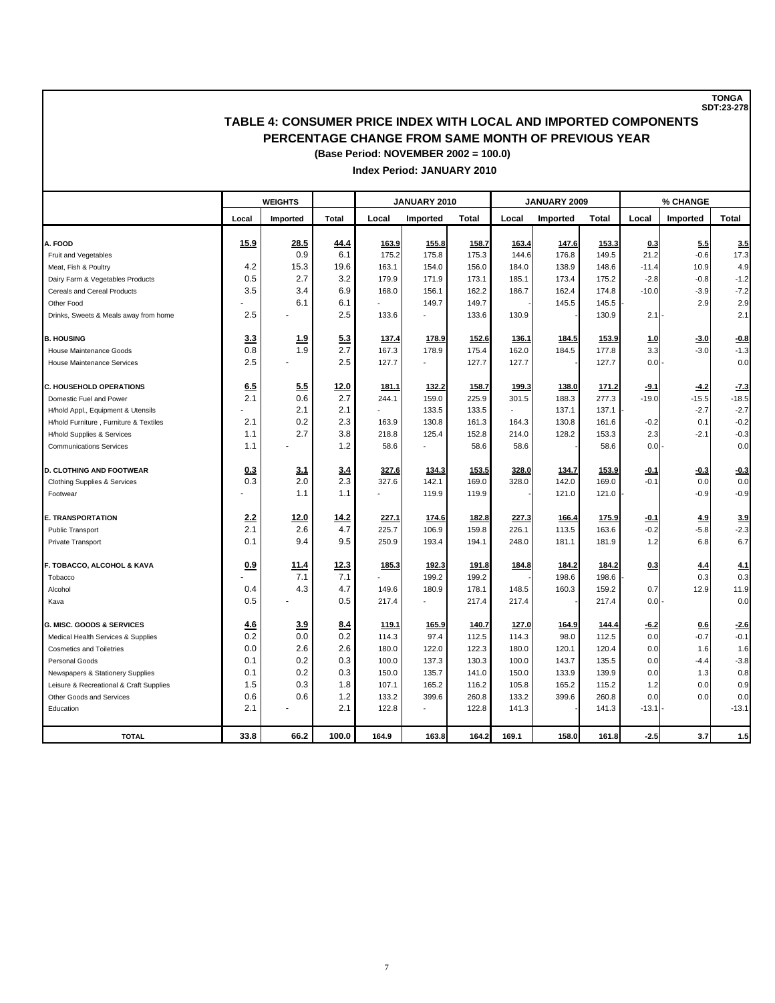## **TABLE 4: CONSUMER PRICE INDEX WITH LOCAL AND IMPORTED COMPONENTS PERCENTAGE CHANGE FROM SAME MONTH OF PREVIOUS YEAR (Base Period: NOVEMBER 2002 = 100.0)**

#### **Index Period: JANUARY 2010**

|                                                              |            | <b>WEIGHTS</b> |              |               | JANUARY 2010    |               |               | JANUARY 2009 |               |            | % CHANGE |               |
|--------------------------------------------------------------|------------|----------------|--------------|---------------|-----------------|---------------|---------------|--------------|---------------|------------|----------|---------------|
|                                                              | Local      | Imported       | <b>Total</b> | Local         | <b>Imported</b> | Total         | Local         | Imported     | Total         | Local      | Imported | Total         |
| A. FOOD                                                      | 15.9       | 28.5           | 44.4         | 163.9         | 155.8           | 158.7         | 163.4         | 147.6        | 153.3         | 0.3        | 5.5      | 3.5           |
| Fruit and Vegetables                                         |            | 0.9            | 6.1          | 175.2         | 175.8           | 175.3         | 144.6         | 176.8        | 149.5         | 21.2       | $-0.6$   | 17.3          |
| Meat, Fish & Poultry                                         | 4.2        | 15.3           | 19.6         | 163.1         | 154.0           | 156.0         | 184.0         | 138.9        | 148.6         | $-11.4$    | 10.9     | 4.9           |
| Dairy Farm & Vegetables Products                             | 0.5        | 2.7            | 3.2          | 179.9         | 171.9           | 173.1         | 185.1         | 173.4        | 175.2         | $-2.8$     | $-0.8$   | $-1.2$        |
| Cereals and Cereal Products                                  | 3.5        | 3.4            | 6.9          | 168.0         | 156.1           | 162.2         | 186.7         | 162.4        | 174.8         | $-10.0$    | $-3.9$   | $-7.2$        |
| Other Food                                                   |            | 6.1            | 6.1          |               | 149.7           | 149.7         |               | 145.5        | 145.5         |            | 2.9      | 2.9           |
| Drinks, Sweets & Meals away from home                        | 2.5        |                | 2.5          | 133.6         |                 | 133.6         | 130.9         |              | 130.9         | 2.1        |          | 2.1           |
| <b>B. HOUSING</b>                                            | 3.3        | <u>1.9</u>     | 5.3          | 137.4         | 178.9           | 152.6         | 136.1         | 184.5        | 153.9         | 1.0        | $-3.0$   | $-0.8$        |
| House Maintenance Goods                                      | 0.8        | 1.9            | 2.7          | 167.3         | 178.9           | 175.4         | 162.0         | 184.5        | 177.8         | 3.3        | $-3.0$   | $-1.3$        |
| <b>House Maintenance Services</b>                            | 2.5        |                | 2.5          | 127.7         |                 | 127.7         | 127.7         |              | 127.7         | 0.0        |          | 0.0           |
|                                                              |            |                |              |               |                 |               |               |              |               |            |          |               |
| <b>C. HOUSEHOLD OPERATIONS</b>                               | 6.5        | 5.5            | 12.0         | 181.1         | 132.2           | 158.7         | 199.3         | 138.0        | 171.2         | $-9.1$     | $-4.2$   | $-7.3$        |
| Domestic Fuel and Power                                      | 2.1        | 0.6            | 2.7          | 244.1         | 159.0           | 225.9         | 301.5         | 188.3        | 277.3         | $-19.0$    | $-15.5$  | $-18.5$       |
| H/hold Appl., Equipment & Utensils                           |            | 2.1            | 2.1          |               | 133.5           | 133.5         |               | 137.1        | 137.1         |            | $-2.7$   | $-2.7$        |
| H/hold Furniture, Furniture & Textiles                       | 2.1        | 0.2            | 2.3          | 163.9         | 130.8           | 161.3         | 164.3         | 130.8        | 161.6         | $-0.2$     | 0.1      | $-0.2$        |
| H/hold Supplies & Services<br><b>Communications Services</b> | 1.1<br>1.1 | 2.7            | 3.8<br>1.2   | 218.8<br>58.6 | 125.4           | 152.8<br>58.6 | 214.0<br>58.6 | 128.2        | 153.3<br>58.6 | 2.3<br>0.0 | $-2.1$   | $-0.3$<br>0.0 |
|                                                              |            |                |              |               |                 |               |               |              |               |            |          |               |
| <b>D. CLOTHING AND FOOTWEAR</b>                              | 0.3        | 3.1            | 3.4          | 327.6         | 134.3           | 153.5         | 328.0         | 134.7        | 153.9         | $-0.1$     | $-0.3$   | $-0.3$        |
| <b>Clothing Supplies &amp; Services</b>                      | 0.3        | 2.0            | 2.3          | 327.6         | 142.1           | 169.0         | 328.0         | 142.0        | 169.0         | $-0.1$     | 0.0      | 0.0           |
| Footwear                                                     |            | 1.1            | 1.1          |               | 119.9           | 119.9         |               | 121.0        | 121.0         |            | $-0.9$   | $-0.9$        |
| <b>E. TRANSPORTATION</b>                                     | 2.2        | 12.0           | 14.2         | 227.1         | 174.6           | 182.8         | 227.3         | 166.4        | 175.9         | $-0.1$     | 4.9      | 3.9           |
| <b>Public Transport</b>                                      | 2.1        | 2.6            | 4.7          | 225.7         | 106.9           | 159.8         | 226.1         | 113.5        | 163.6         | $-0.2$     | $-5.8$   | $-2.3$        |
| Private Transport                                            | 0.1        | 9.4            | 9.5          | 250.9         | 193.4           | 194.1         | 248.0         | 181.1        | 181.9         | 1.2        | 6.8      | 6.7           |
| F. TOBACCO, ALCOHOL & KAVA                                   | 0.9        | 11.4           | 12.3         | 185.3         | 192.3           | 191.8         | 184.8         | 184.2        | 184.2         | 0.3        | 4.4      | 4.1           |
| Tobacco                                                      |            | 7.1            | 7.1          |               | 199.2           | 199.2         |               | 198.6        | 198.6         |            | 0.3      | 0.3           |
| Alcohol                                                      | 0.4        | 4.3            | 4.7          | 149.6         | 180.9           | 178.1         | 148.5         | 160.3        | 159.2         | 0.7        | 12.9     | 11.9          |
| Kava                                                         | 0.5        |                | 0.5          | 217.4         |                 | 217.4         | 217.4         |              | 217.4         | 0.0        |          | 0.0           |
| <b>G. MISC. GOODS &amp; SERVICES</b>                         | 4.6        | 3.9            | 8.4          | 119.1         | 165.9           | 140.7         | 127.0         | 164.9        | 144.4         | $-6.2$     | 0.6      | $-2.6$        |
| Medical Health Services & Supplies                           | 0.2        | 0.0            | 0.2          | 114.3         | 97.4            | 112.5         | 114.3         | 98.0         | 112.5         | 0.0        | $-0.7$   | $-0.1$        |
| <b>Cosmetics and Toiletries</b>                              | 0.0        | 2.6            | 2.6          | 180.0         | 122.0           | 122.3         | 180.0         | 120.1        | 120.4         | 0.0        | 1.6      | 1.6           |
| Personal Goods                                               | 0.1        | 0.2            | 0.3          | 100.0         | 137.3           | 130.3         | 100.0         | 143.7        | 135.5         | 0.0        | $-4.4$   | $-3.8$        |
| Newspapers & Stationery Supplies                             | 0.1        | 0.2            | 0.3          | 150.0         | 135.7           | 141.0         | 150.0         | 133.9        | 139.9         | 0.0        | 1.3      | 0.8           |
| Leisure & Recreational & Craft Supplies                      | 1.5        | 0.3            | 1.8          | 107.1         | 165.2           | 116.2         | 105.8         | 165.2        | 115.2         | 1.2        | 0.0      | 0.9           |
| Other Goods and Services                                     | 0.6        | 0.6            | 1.2          | 133.2         | 399.6           | 260.8         | 133.2         | 399.6        | 260.8         | 0.0        | 0.0      | 0.0           |
| Education                                                    | 2.1        |                | 2.1          | 122.8         |                 | 122.8         | 141.3         |              | 141.3         | $-13.1$    |          | $-13.1$       |
| <b>TOTAL</b>                                                 | 33.8       | 66.2           | 100.0        | 164.9         | 163.8           | 164.2         | 169.1         | 158.0        | 161.8         | $-2.5$     | 3.7      | 1.5           |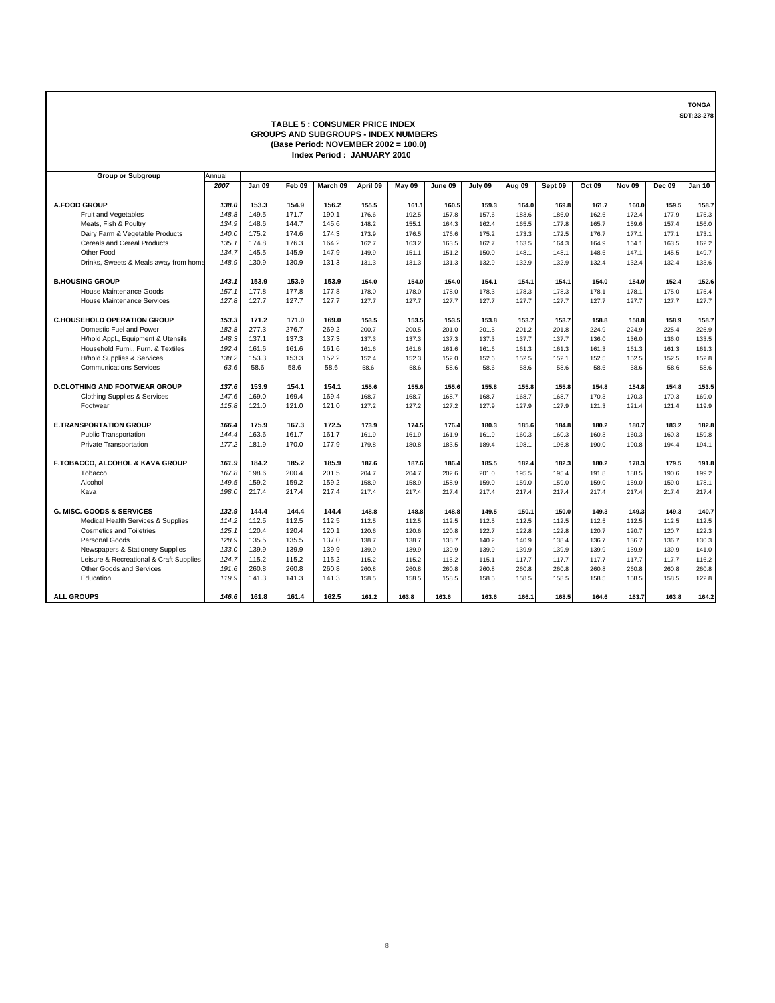#### **TABLE 5 : CONSUMER PRICE INDEX GROUPS AND SUBGROUPS - INDEX NUMBERS (Base Period: NOVEMBER 2002 = 100.0) Index Period : JANUARY 2010**

| <b>Group or Subgroup</b>                | Annual |        |        |          |          |        |         |         |        |         |        |               |               |               |
|-----------------------------------------|--------|--------|--------|----------|----------|--------|---------|---------|--------|---------|--------|---------------|---------------|---------------|
|                                         | 2007   | Jan 09 | Feb 09 | March 09 | April 09 | May 09 | June 09 | July 09 | Aug 09 | Sept 09 | Oct 09 | <b>Nov 09</b> | <b>Dec 09</b> | <b>Jan 10</b> |
|                                         |        |        |        |          |          |        |         |         |        |         |        |               |               |               |
| A.FOOD GROUP                            | 138.0  | 153.3  | 154.9  | 156.2    | 155.5    | 161.1  | 160.5   | 159.3   | 164.0  | 169.8   | 161.7  | 160.0         | 159.5         | 158.7         |
| Fruit and Vegetables                    | 148.8  | 149.5  | 171.7  | 190.1    | 176.6    | 192.5  | 157.8   | 157.6   | 183.6  | 186.0   | 162.6  | 172.4         | 177.9         | 175.3         |
| Meats, Fish & Poultry                   | 134.9  | 148.6  | 144.7  | 145.6    | 148.2    | 155.1  | 164.3   | 162.4   | 165.5  | 177.8   | 165.7  | 159.6         | 157.4         | 156.0         |
| Dairy Farm & Vegetable Products         | 140.0  | 175.2  | 174.6  | 174.3    | 173.9    | 176.5  | 176.6   | 175.2   | 173.3  | 172.5   | 176.7  | 177.1         | 177.1         | 173.1         |
| <b>Cereals and Cereal Products</b>      | 135.1  | 174.8  | 176.3  | 164.2    | 162.7    | 163.2  | 163.5   | 162.7   | 163.5  | 164.3   | 164.9  | 164.1         | 163.5         | 162.2         |
| Other Food                              | 134.7  | 145.5  | 145.9  | 147.9    | 149.9    | 151.1  | 151.2   | 150.0   | 148.1  | 148.1   | 148.6  | 147.1         | 145.5         | 149.7         |
| Drinks, Sweets & Meals away from home   | 148.9  | 130.9  | 130.9  | 131.3    | 131.3    | 131.3  | 131.3   | 132.9   | 132.9  | 132.9   | 132.4  | 132.4         | 132.4         | 133.6         |
| <b>B.HOUSING GROUP</b>                  | 143.1  | 153.9  | 153.9  | 153.9    | 154.0    | 154.0  | 154.0   | 154.1   | 154.1  | 154.1   | 154.0  | 154.0         | 152.4         | 152.6         |
| <b>House Maintenance Goods</b>          | 157.1  | 177.8  | 177.8  | 177.8    | 178.0    | 178.0  | 178.0   | 178.3   | 178.3  | 178.3   | 178.1  | 178.1         | 175.0         | 175.4         |
| <b>House Maintenance Services</b>       | 127.8  | 127.7  | 127.7  | 127.7    | 127.7    | 127.7  | 127.7   | 127.7   | 127.7  | 127.7   | 127.7  | 127.7         | 127.7         | 127.7         |
| <b>C.HOUSEHOLD OPERATION GROUP</b>      | 153.3  | 171.2  | 171.0  | 169.0    | 153.5    | 153.5  | 153.5   | 153.8   | 153.7  | 153.7   | 158.8  | 158.8         | 158.9         | 158.7         |
| Domestic Fuel and Power                 | 182.8  | 277.3  | 276.7  | 269.2    | 200.7    | 200.5  | 201.0   | 201.5   | 201.2  | 201.8   | 224.9  | 224.9         | 225.4         | 225.9         |
| H/hold Appl., Equipment & Utensils      | 148.3  | 137.1  | 137.3  | 137.3    | 137.3    | 137.3  | 137.3   | 137.3   | 137.7  | 137.7   | 136.0  | 136.0         | 136.0         | 133.5         |
| Household Furni., Furn. & Textiles      | 192.4  | 161.6  | 161.6  | 161.6    | 161.6    | 161.6  | 161.6   | 161.6   | 161.3  | 161.3   | 161.3  | 161.3         | 161.3         | 161.3         |
| H/hold Supplies & Services              | 138.2  | 153.3  | 153.3  | 152.2    | 152.4    | 152.3  | 152.0   | 152.6   | 152.5  | 152.1   | 152.5  | 152.5         | 152.5         | 152.8         |
| <b>Communications Services</b>          | 63.6   | 58.6   | 58.6   | 58.6     | 58.6     | 58.6   | 58.6    | 58.6    | 58.6   | 58.6    | 58.6   | 58.6          | 58.6          | 58.6          |
| <b>D.CLOTHING AND FOOTWEAR GROUP</b>    | 137.6  | 153.9  | 154.1  | 154.1    | 155.6    | 155.6  | 155.6   | 155.8   | 155.8  | 155.8   | 154.8  | 154.8         | 154.8         | 153.5         |
| Clothing Supplies & Services            | 147.6  | 169.0  | 169.4  | 169.4    | 168.7    | 168.7  | 168.7   | 168.7   | 168.7  | 168.7   | 170.3  | 170.3         | 170.3         | 169.0         |
| Footwear                                | 115.8  | 121.0  | 121.0  | 121.0    | 127.2    | 127.2  | 127.2   | 127.9   | 127.9  | 127.9   | 121.3  | 121.4         | 121.4         | 119.9         |
| <b>E.TRANSPORTATION GROUP</b>           | 166.4  | 175.9  | 167.3  | 172.5    | 173.9    | 174.5  | 176.4   | 180.3   | 185.6  | 184.8   | 180.2  | 180.7         | 183.2         | 182.8         |
| <b>Public Transportation</b>            | 144.4  | 163.6  | 161.7  | 161.7    | 161.9    | 161.9  | 161.9   | 161.9   | 160.3  | 160.3   | 160.3  | 160.3         | 160.3         | 159.8         |
| <b>Private Transportation</b>           | 177.2  | 181.9  | 170.0  | 177.9    | 179.8    | 180.8  | 183.5   | 189.4   | 198.1  | 196.8   | 190.0  | 190.8         | 194.4         | 194.1         |
| F.TOBACCO, ALCOHOL & KAVA GROUP         | 161.9  | 184.2  | 185.2  | 185.9    | 187.6    | 187.6  | 186.4   | 185.5   | 182.4  | 182.3   | 180.2  | 178.3         | 179.5         | 191.8         |
| Tobacco                                 | 167.8  | 198.6  | 200.4  | 201.5    | 204.7    | 204.7  | 202.6   | 201.0   | 195.5  | 195.4   | 191.8  | 188.5         | 190.6         | 199.2         |
| Alcohol                                 | 149.5  | 159.2  | 159.2  | 159.2    | 158.9    | 158.9  | 158.9   | 159.0   | 159.0  | 159.0   | 159.0  | 159.0         | 159.0         | 178.1         |
| Kava                                    | 198.0  | 217.4  | 217.4  | 217.4    | 217.4    | 217.4  | 217.4   | 217.4   | 217.4  | 217.4   | 217.4  | 217.4         | 217.4         | 217.4         |
| <b>G. MISC. GOODS &amp; SERVICES</b>    | 132.9  | 144.4  | 144.4  | 144.4    | 148.8    | 148.8  | 148.8   | 149.5   | 150.1  | 150.0   | 149.3  | 149.3         | 149.3         | 140.7         |
| Medical Health Services & Supplies      | 114.2  | 112.5  | 112.5  | 112.5    | 112.5    | 112.5  | 112.5   | 112.5   | 112.5  | 112.5   | 112.5  | 112.5         | 112.5         | 112.5         |
| <b>Cosmetics and Toiletries</b>         | 125.1  | 120.4  | 120.4  | 120.1    | 120.6    | 120.6  | 120.8   | 122.7   | 122.8  | 122.8   | 120.7  | 120.7         | 120.7         | 122.3         |
| Personal Goods                          | 128.9  | 135.5  | 135.5  | 137.0    | 138.7    | 138.7  | 138.7   | 140.2   | 140.9  | 138.4   | 136.7  | 136.7         | 136.7         | 130.3         |
| Newspapers & Stationery Supplies        | 133.0  | 139.9  | 139.9  | 139.9    | 139.9    | 139.9  | 139.9   | 139.9   | 139.9  | 139.9   | 139.9  | 139.9         | 139.9         | 141.0         |
| Leisure & Recreational & Craft Supplies | 124.7  | 115.2  | 115.2  | 115.2    | 115.2    | 115.2  | 115.2   | 115.1   | 117.7  | 117.7   | 117.7  | 117.7         | 117.7         | 116.2         |
| Other Goods and Services                | 191.6  | 260.8  | 260.8  | 260.8    | 260.8    | 260.8  | 260.8   | 260.8   | 260.8  | 260.8   | 260.8  | 260.8         | 260.8         | 260.8         |
| Education                               | 119.9  | 141.3  | 141.3  | 141.3    | 158.5    | 158.5  | 158.5   | 158.5   | 158.5  | 158.5   | 158.5  | 158.5         | 158.5         | 122.8         |
| <b>ALL GROUPS</b>                       | 146.6  | 161.8  | 161.4  | 162.5    | 161.2    | 163.8  | 163.6   | 163.6   | 166.1  | 168.5   | 164.6  | 163.7         | 163.8         | 164.2         |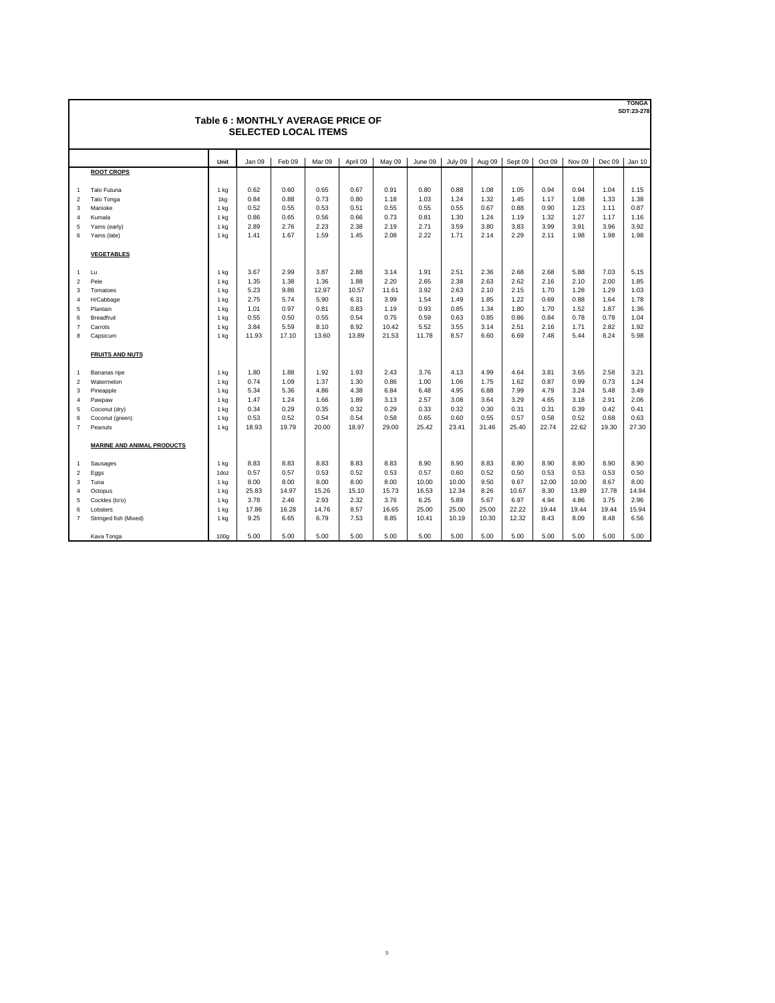|                | Table 6: MONTHLY AVERAGE PRICE OF<br><b>SELECTED LOCAL ITEMS</b> |                 |        |        |        |          |        |         |         |        |         |        |        |        | <b>TONGA</b><br>SDT:23-278 |
|----------------|------------------------------------------------------------------|-----------------|--------|--------|--------|----------|--------|---------|---------|--------|---------|--------|--------|--------|----------------------------|
|                |                                                                  | Unit            | Jan 09 | Feb 09 | Mar 09 | April 09 | May 09 | June 09 | July 09 | Aug 09 | Sept 09 | Oct 09 | Nov 09 | Dec 09 | Jan 10                     |
|                | <b>ROOT CROPS</b>                                                |                 |        |        |        |          |        |         |         |        |         |        |        |        |                            |
| $\mathbf{1}$   | Talo Futuna                                                      | $1$ kg          | 0.62   | 0.60   | 0.65   | 0.67     | 0.91   | 0.80    | 0.88    | 1.08   | 1.05    | 0.94   | 0.94   | 1.04   | 1.15                       |
| $\overline{2}$ | Talo Tonga                                                       | 1kg             | 0.84   | 0.88   | 0.73   | 0.80     | 1.18   | 1.03    | 1.24    | 1.32   | 1.45    | 1.17   | 1.08   | 1.33   | 1.38                       |
| 3              | Manioke                                                          | 1 <sub>kg</sub> | 0.52   | 0.55   | 0.53   | 0.51     | 0.55   | 0.55    | 0.55    | 0.67   | 0.88    | 0.90   | 1.23   | 1.11   | 0.87                       |
| $\overline{4}$ | Kumala                                                           | 1 <sub>kg</sub> | 0.86   | 0.65   | 0.56   | 0.66     | 0.73   | 0.81    | 1.30    | 1.24   | 1.19    | 1.32   | 1.27   | 1.17   | 1.16                       |
| 5              | Yams (early)                                                     | 1 kg            | 2.89   | 2.76   | 2.23   | 2.38     | 2.19   | 2.71    | 3.59    | 3.80   | 3.83    | 3.99   | 3.91   | 3.96   | 3.92                       |
| 6              | Yams (late)                                                      | 1 <sub>kg</sub> | 1.41   | 1.67   | 1.59   | 1.45     | 2.08   | 2.22    | 1.71    | 2.14   | 2.29    | 2.11   | 1.98   | 1.98   | 1.98                       |
|                | <b>VEGETABLES</b>                                                |                 |        |        |        |          |        |         |         |        |         |        |        |        |                            |
| $\mathbf{1}$   | Lu                                                               | 1 <sub>kg</sub> | 3.67   | 2.99   | 3.87   | 2.88     | 3.14   | 1.91    | 2.51    | 2.36   | 2.68    | 2.68   | 5.88   | 7.03   | 5.15                       |
| $\overline{2}$ | Pele                                                             | 1 <sub>kg</sub> | 1.35   | 1.38   | 1.36   | 1.88     | 2.20   | 2.65    | 2.38    | 2.63   | 2.62    | 2.16   | 2.10   | 2.00   | 1.85                       |
| 3              | Tomatoes                                                         | 1 kg            | 5.23   | 9.86   | 12.97  | 10.57    | 11.61  | 3.92    | 2.63    | 2.10   | 2.15    | 1.70   | 1.28   | 1.29   | 1.03                       |
| 4              | H/Cabbage                                                        | 1 kg            | 2.75   | 5.74   | 5.90   | 6.31     | 3.99   | 1.54    | 1.49    | 1.85   | 1.22    | 0.69   | 0.88   | 1.64   | 1.78                       |
| 5              | Plantain                                                         | 1 <sub>kg</sub> | 1.01   | 0.97   | 0.81   | 0.83     | 1.19   | 0.93    | 0.85    | 1.34   | 1.80    | 1.70   | 1.52   | 1.87   | 1.36                       |
| 6              | <b>Breadfruit</b>                                                | 1 <sub>kg</sub> | 0.55   | 0.50   | 0.55   | 0.54     | 0.75   | 0.59    | 0.63    | 0.85   | 0.86    | 0.84   | 0.78   | 0.78   | 1.04                       |
| $\overline{7}$ | Carrots                                                          | $1$ kg          | 3.84   | 5.59   | 8.10   | 8.92     | 10.42  | 5.52    | 3.55    | 3.14   | 2.51    | 2.16   | 1.71   | 2.82   | 1.92                       |
| 8              | Capsicum                                                         | 1 <sub>kg</sub> | 11.93  | 17.10  | 13.60  | 13.89    | 21.53  | 11.78   | 8.57    | 6.60   | 6.69    | 7.48   | 5.44   | 8.24   | 5.98                       |
|                | <b>FRUITS AND NUTS</b>                                           |                 |        |        |        |          |        |         |         |        |         |        |        |        |                            |
| $\mathbf{1}$   | Bananas ripe                                                     | 1 <sub>kg</sub> | 1.80   | 1.88   | 1.92   | 1.93     | 2.43   | 3.76    | 4.13    | 4.99   | 4.64    | 3.81   | 3.65   | 2.58   | 3.21                       |
| $\overline{2}$ | Watermelon                                                       | $1$ kg          | 0.74   | 1.09   | 1.37   | 1.30     | 0.86   | 1.00    | 1.06    | 1.75   | 1.62    | 0.87   | 0.99   | 0.73   | 1.24                       |
| 3              | Pineapple                                                        | 1 <sub>kg</sub> | 5.34   | 5.36   | 4.86   | 4.38     | 6.84   | 6.48    | 4.95    | 6.88   | 7.99    | 4.79   | 3.24   | 5.48   | 3.49                       |
| 4              | Pawpaw                                                           | 1 <sub>kg</sub> | 1.47   | 1.24   | 1.66   | 1.89     | 3.13   | 2.57    | 3.08    | 3.64   | 3.29    | 4.65   | 3.18   | 2.91   | 2.06                       |
| 5              | Coconut (dry)                                                    | 1 <sub>kg</sub> | 0.34   | 0.29   | 0.35   | 0.32     | 0.29   | 0.33    | 0.32    | 0.30   | 0.31    | 0.31   | 0.39   | 0.42   | 0.41                       |
| 6              | Coconut (green)                                                  | 1 <sub>kg</sub> | 0.53   | 0.52   | 0.54   | 0.54     | 0.58   | 0.65    | 0.60    | 0.55   | 0.57    | 0.58   | 0.52   | 0.68   | 0.63                       |
| $\overline{7}$ | Peanuts                                                          | 1 kg            | 18.93  | 19.79  | 20.00  | 18.97    | 29.00  | 25.42   | 23.41   | 31.46  | 25.40   | 22.74  | 22.62  | 19.30  | 27.30                      |
|                | <b>MARINE AND ANIMAL PRODUCTS</b>                                |                 |        |        |        |          |        |         |         |        |         |        |        |        |                            |
| $\mathbf{1}$   | Sausages                                                         | 1 <sub>kg</sub> | 8.83   | 8.83   | 8.83   | 8.83     | 8.83   | 8.90    | 8.90    | 8.83   | 8.90    | 8.90   | 8.90   | 8.90   | 8.90                       |
| $\overline{2}$ | Eggs                                                             | 1doz            | 0.57   | 0.57   | 0.53   | 0.52     | 0.53   | 0.57    | 0.60    | 0.52   | 0.50    | 0.53   | 0.53   | 0.53   | 0.50                       |
| 3              | Tuna                                                             | 1 <sub>kg</sub> | 8.00   | 8.00   | 8.00   | 8.00     | 8.00   | 10.00   | 10.00   | 9.50   | 9.67    | 12.00  | 10.00  | 8.67   | 8.00                       |
| 4              | Octopus                                                          | 1 <sub>kg</sub> | 25.83  | 14.97  | 15.26  | 15.10    | 15.73  | 16.53   | 12.34   | 8.26   | 10.67   | 8.30   | 13.89  | 17.78  | 14.94                      |
| 5              | Cockles (to'o)                                                   | $1$ kg          | 3.78   | 2.46   | 2.93   | 2.32     | 3.76   | 6.25    | 5.89    | 5.67   | 6.97    | 4.94   | 4.86   | 3.75   | 2.96                       |
| 6              | Lobsters                                                         | 1 <sub>kg</sub> | 17.86  | 16.28  | 14.76  | 8.57     | 16.65  | 25.00   | 25.00   | 25.00  | 22.22   | 19.44  | 19.44  | 19.44  | 15.94                      |
| $\overline{7}$ | Stringed fish (Mixed)                                            | 1 <sub>ka</sub> | 9.25   | 6.65   | 6.79   | 7.53     | 8.85   | 10.41   | 10.19   | 10.30  | 12.32   | 8.43   | 8.09   | 8.48   | 6.56                       |
|                | Kava Tonga                                                       | 100a            | 5.00   | 5.00   | 5.00   | 5.00     | 5.00   | 5.00    | 5.00    | 5.00   | 5.00    | 5.00   | 5.00   | 5.00   | 5.00                       |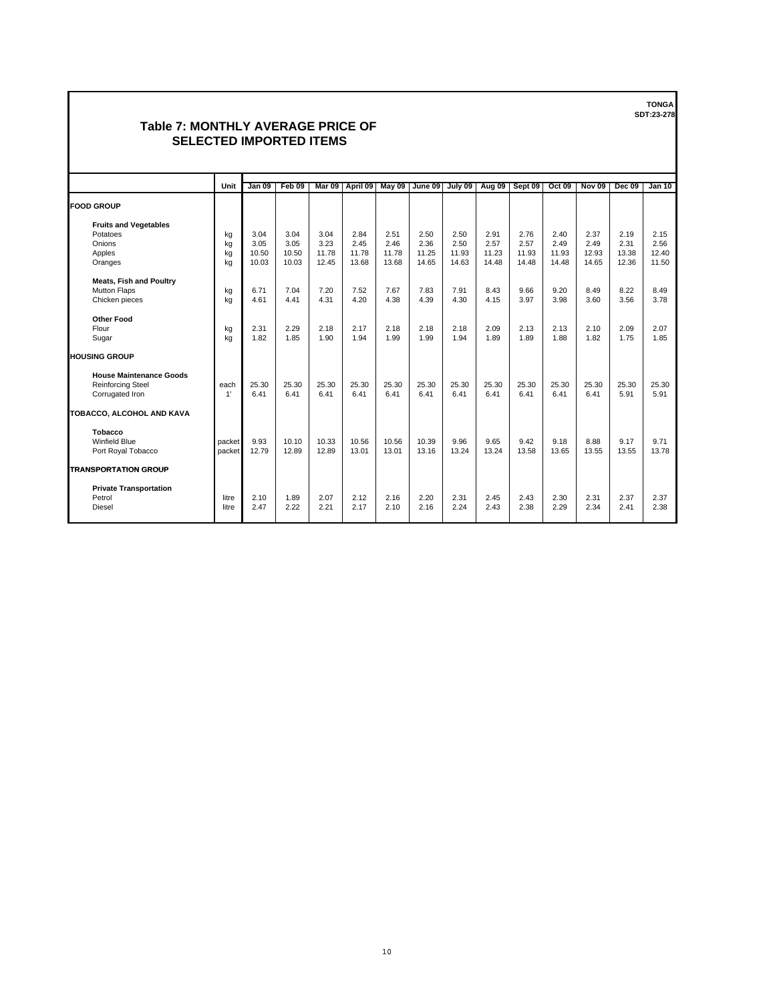## **Table 7: MONTHLY AVERAGE PRICE OF SELECTED IMPORTED ITEMS**

|                                | Unit   | <b>Jan 09</b> | Feb 09 | Mar 09 | April 09 |       | May 09 June 09 | July 09 | Aug 09 | Sept 09 | <b>Oct 09</b> | <b>Nov 09</b> | <b>Dec 09</b> | <b>Jan 10</b> |
|--------------------------------|--------|---------------|--------|--------|----------|-------|----------------|---------|--------|---------|---------------|---------------|---------------|---------------|
| <b>FOOD GROUP</b>              |        |               |        |        |          |       |                |         |        |         |               |               |               |               |
| <b>Fruits and Vegetables</b>   |        |               |        |        |          |       |                |         |        |         |               |               |               |               |
| Potatoes                       | kg     | 3.04          | 3.04   | 3.04   | 2.84     | 2.51  | 2.50           | 2.50    | 2.91   | 2.76    | 2.40          | 2.37          | 2.19          | 2.15          |
| Onions                         | kg     | 3.05          | 3.05   | 3.23   | 2.45     | 2.46  | 2.36           | 2.50    | 2.57   | 2.57    | 2.49          | 2.49          | 2.31          | 2.56          |
| Apples                         | kg     | 10.50         | 10.50  | 11.78  | 11.78    | 11.78 | 11.25          | 11.93   | 11.23  | 11.93   | 11.93         | 12.93         | 13.38         | 12.40         |
| Oranges                        | kg     | 10.03         | 10.03  | 12.45  | 13.68    | 13.68 | 14.65          | 14.63   | 14.48  | 14.48   | 14.48         | 14.65         | 12.36         | 11.50         |
| <b>Meats, Fish and Poultry</b> |        |               |        |        |          |       |                |         |        |         |               |               |               |               |
| <b>Mutton Flaps</b>            | kg     | 6.71          | 7.04   | 7.20   | 7.52     | 7.67  | 7.83           | 7.91    | 8.43   | 9.66    | 9.20          | 8.49          | 8.22          | 8.49          |
| Chicken pieces                 | kg     | 4.61          | 4.41   | 4.31   | 4.20     | 4.38  | 4.39           | 4.30    | 4.15   | 3.97    | 3.98          | 3.60          | 3.56          | 3.78          |
| <b>Other Food</b>              |        |               |        |        |          |       |                |         |        |         |               |               |               |               |
| Flour                          | kg     | 2.31          | 2.29   | 2.18   | 2.17     | 2.18  | 2.18           | 2.18    | 2.09   | 2.13    | 2.13          | 2.10          | 2.09          | 2.07          |
| Sugar                          | kg     | 1.82          | 1.85   | 1.90   | 1.94     | 1.99  | 1.99           | 1.94    | 1.89   | 1.89    | 1.88          | 1.82          | 1.75          | 1.85          |
| <b>HOUSING GROUP</b>           |        |               |        |        |          |       |                |         |        |         |               |               |               |               |
| <b>House Maintenance Goods</b> |        |               |        |        |          |       |                |         |        |         |               |               |               |               |
| <b>Reinforcing Steel</b>       | each   | 25.30         | 25.30  | 25.30  | 25.30    | 25.30 | 25.30          | 25.30   | 25.30  | 25.30   | 25.30         | 25.30         | 25.30         | 25.30         |
| Corrugated Iron                | 1'     | 6.41          | 6.41   | 6.41   | 6.41     | 6.41  | 6.41           | 6.41    | 6.41   | 6.41    | 6.41          | 6.41          | 5.91          | 5.91          |
| TOBACCO, ALCOHOL AND KAVA      |        |               |        |        |          |       |                |         |        |         |               |               |               |               |
| Tobacco                        |        |               |        |        |          |       |                |         |        |         |               |               |               |               |
| <b>Winfield Blue</b>           | packet | 9.93          | 10.10  | 10.33  | 10.56    | 10.56 | 10.39          | 9.96    | 9.65   | 9.42    | 9.18          | 8.88          | 9.17          | 9.71          |
| Port Royal Tobacco             | packet | 12.79         | 12.89  | 12.89  | 13.01    | 13.01 | 13.16          | 13.24   | 13.24  | 13.58   | 13.65         | 13.55         | 13.55         | 13.78         |
| <b>TRANSPORTATION GROUP</b>    |        |               |        |        |          |       |                |         |        |         |               |               |               |               |
|                                |        |               |        |        |          |       |                |         |        |         |               |               |               |               |
| <b>Private Transportation</b>  |        |               |        |        |          |       |                |         |        |         |               |               |               |               |
| Petrol                         | litre  | 2.10          | 1.89   | 2.07   | 2.12     | 2.16  | 2.20           | 2.31    | 2.45   | 2.43    | 2.30          | 2.31          | 2.37          | 2.37          |
| Diesel                         | litre  | 2.47          | 2.22   | 2.21   | 2.17     | 2.10  | 2.16           | 2.24    | 2.43   | 2.38    | 2.29          | 2.34          | 2.41          | 2.38          |
|                                |        |               |        |        |          |       |                |         |        |         |               |               |               |               |